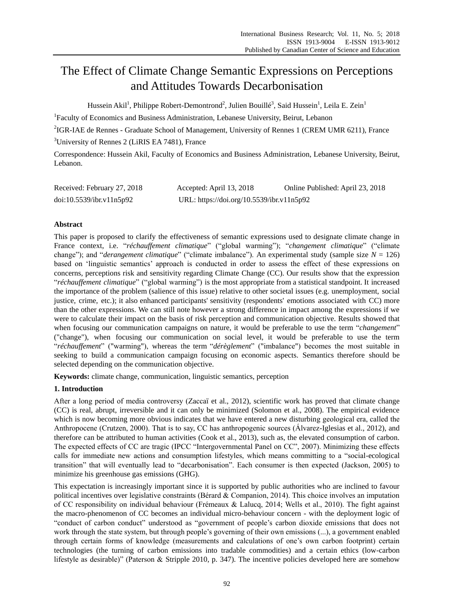# The Effect of Climate Change Semantic Expressions on Perceptions and Attitudes Towards Decarbonisation

Hussein Akil<sup>1</sup>, Philippe Robert-Demontrond<sup>2</sup>, Julien Bouill  $\hat{\epsilon}$ , Said Hussein<sup>1</sup>, Leila E. Zein<sup>1</sup>

<sup>1</sup>Faculty of Economics and Business Administration, Lebanese University, Beirut, Lebanon

<sup>2</sup>IGR-IAE de Rennes - Graduate School of Management, University of Rennes 1 (CREM UMR 6211), France

<sup>3</sup>University of Rennes 2 (LiRIS EA 7481), France

Correspondence: Hussein Akil, Faculty of Economics and Business Administration, Lebanese University, Beirut, Lebanon.

| Received: February 27, 2018 | Accepted: April 13, 2018                  | Online Published: April 23, 2018 |
|-----------------------------|-------------------------------------------|----------------------------------|
| doi:10.5539/ibr.v11n5p92    | URL: https://doi.org/10.5539/ibr.v11n5p92 |                                  |

# **Abstract**

This paper is proposed to clarify the effectiveness of semantic expressions used to designate climate change in France context, i.e. "*réchauffement climatique*" ("global warming"); "*changement climatique*" ("climate change"); and "*derangement climatique*" ("climate imbalance"). An experimental study (sample size *N* = 126) based on "linguistic semantics" approach is conducted in order to assess the effect of these expressions on concerns, perceptions risk and sensitivity regarding Climate Change (CC). Our results show that the expression "*réchauffement climatique*" ("global warming") is the most appropriate from a statistical standpoint. It increased the importance of the problem (salience of this issue) relative to other societal issues (e.g. unemployment, social justice, crime, etc.); it also enhanced participants' sensitivity (respondents' emotions associated with CC) more than the other expressions. We can still note however a strong difference in impact among the expressions if we were to calculate their impact on the basis of risk perception and communication objective. Results showed that when focusing our communication campaigns on nature, it would be preferable to use the term "*changement*" ("change"), when focusing our communication on social level, it would be preferable to use the term "*réchauffement*" ("warming"), whereas the term "*dérèglement*" ("imbalance") becomes the most suitable in seeking to build a communication campaign focusing on economic aspects. Semantics therefore should be selected depending on the communication objective.

**Keywords:** climate change, communication, linguistic semantics, perception

# **1. Introduction**

After a long period of media controversy (Zaccaï et al., 2012), scientific work has proved that climate change (CC) is real, abrupt, irreversible and it can only be minimized (Solomon et al., 2008). The empirical evidence which is now becoming more obvious indicates that we have entered a new disturbing geological era, called the Anthropocene (Crutzen, 2000). That is to say, CC has anthropogenic sources (Álvarez-Iglesias et al., 2012), and therefore can be attributed to human activities (Cook et al., 2013), such as, the elevated consumption of carbon. The expected effects of CC are tragic (IPCC "Intergovernmental Panel on CC", 2007). Minimizing these effects calls for immediate new actions and consumption lifestyles, which means committing to a "social-ecological transition" that will eventually lead to "decarbonisation". Each consumer is then expected (Jackson, 2005) to minimize his greenhouse gas emissions (GHG).

This expectation is increasingly important since it is supported by public authorities who are inclined to favour political incentives over legislative constraints (Bérard & Companion, 2014). This choice involves an imputation of CC responsibility on individual behaviour (Frémeaux & Lalucq, 2014; Wells et al., 2010). The fight against the macro-phenomenon of CC becomes an individual micro-behaviour concern - with the deployment logic of "conduct of carbon conduct" understood as "government of people"s carbon dioxide emissions that does not work through the state system, but through people's governing of their own emissions  $(...)$ , a government enabled through certain forms of knowledge (measurements and calculations of one"s own carbon footprint) certain technologies (the turning of carbon emissions into tradable commodities) and a certain ethics (low-carbon lifestyle as desirable)" (Paterson & Stripple 2010, p. 347). The incentive policies developed here are somehow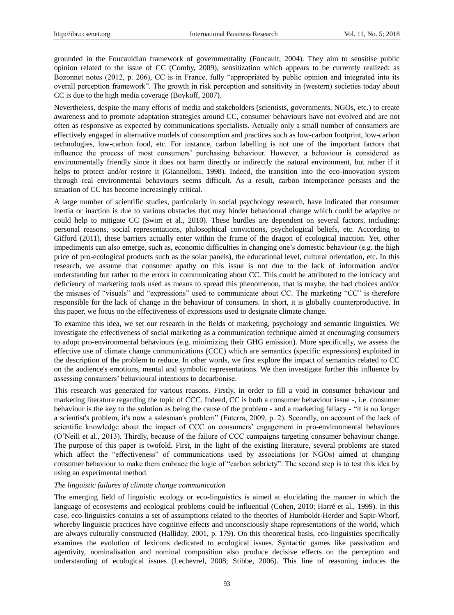grounded in the Foucauldian framework of governmentality (Foucault, 2004). They aim to sensitise public opinion related to the issue of CC (Comby, 2009), sensitization which appears to be currently realized: as Bozonnet notes (2012, p. 206), CC is in France, fully "appropriated by public opinion and integrated into its overall perception framework". The growth in risk perception and sensitivity in (western) societies today about CC is due to the high media coverage (Boykoff, 2007).

Nevertheless, despite the many efforts of media and stakeholders (scientists, governments, NGOs, etc.) to create awareness and to promote adaptation strategies around CC, consumer behaviours have not evolved and are not often as responsive as expected by communications specialists. Actually only a small number of consumers are effectively engaged in alternative models of consumption and practices such as low-carbon footprint, low-carbon technologies, low-carbon food, etc. For instance, carbon labelling is not one of the important factors that influence the process of most consumers" purchasing behaviour. However, a behaviour is considered as environmentally friendly since it does not harm directly or indirectly the natural environment, but rather if it helps to protect and/or restore it (Giannelloni, 1998). Indeed, the transition into the eco-innovation system through real environmental behaviours seems difficult. As a result, carbon intemperance persists and the situation of CC has become increasingly critical.

A large number of scientific studies, particularly in social psychology research, have indicated that consumer inertia or inaction is due to various obstacles that may hinder behavioural change which could be adaptive or could help to mitigate CC (Swim et al., 2010). These hurdles are dependent on several factors, including: personal reasons, social representations, philosophical convictions, psychological beliefs, etc. According to Gifford (2011), these barriers actually enter within the frame of the dragon of ecological inaction. Yet, other impediments can also emerge, such as, economic difficulties in changing one"s domestic behaviour (e.g. the high price of pro-ecological products such as the solar panels), the educational level, cultural orientation, etc. In this research, we assume that consumer apathy on this issue is not due to the lack of information and/or understanding but rather to the errors in communicating about CC. This could be attributed to the intricacy and deficiency of marketing tools used as means to spread this phenomenon, that is maybe, the bad choices and/or the misuses of "visuals" and "expressions" used to communicate about CC. The marketing "CC" is therefore responsible for the lack of change in the behaviour of consumers. In short, it is globally counterproductive. In this paper, we focus on the effectiveness of expressions used to designate climate change.

To examine this idea, we set our research in the fields of marketing, psychology and semantic linguistics. We investigate the effectiveness of social marketing as a communication technique aimed at encouraging consumers to adopt pro-environmental behaviours (e.g. minimizing their GHG emission). More specifically, we assess the effective use of climate change communications (CCC) which are semantics (specific expressions) exploited in the description of the problem to reduce. In other words, we first explore the impact of semantics related to CC on the audience's emotions, mental and symbolic representations. We then investigate further this influence by assessing consumers" behavioural intentions to decarbonise.

This research was generated for various reasons. Firstly, in order to fill a void in consumer behaviour and marketing literature regarding the topic of CCC. Indeed, CC is both a consumer behaviour issue -, i.e. consumer behaviour is the key to the solution as being the cause of the problem - and a marketing fallacy - "it is no longer a scientist's problem, it's now a salesman's problem" (Futerra, 2009, p. 2). Secondly, on account of the lack of scientific knowledge about the impact of CCC on consumers" engagement in pro-environmental behaviours (O"Neill et al., 2013). Thirdly, because of the failure of CCC campaigns targeting consumer behaviour change. The purpose of this paper is twofold. First, in the light of the existing literature, several problems are stated which affect the "effectiveness" of communications used by associations (or NGOs) aimed at changing consumer behaviour to make them embrace the logic of "carbon sobriety". The second step is to test this idea by using an experimental method.

#### *The linguistic failures of climate change communication*

The emerging field of linguistic ecology or eco-linguistics is aimed at elucidating the manner in which the language of ecosystems and ecological problems could be influential (Cohen, 2010; Harré et al., 1999). In this case, eco-linguistics contains a set of assumptions related to the theories of Humboldt-Herder and Sapir-Whorf, whereby linguistic practices have cognitive effects and unconsciously shape representations of the world, which are always culturally constructed (Halliday, 2001, p. 179). On this theoretical basis, eco-linguistics specifically examines the evolution of lexicons dedicated to ecological issues. Syntactic games like passivation and agentivity, nominalisation and nominal composition also produce decisive effects on the perception and understanding of ecological issues (Lechevrel, 2008; Stibbe, 2006). This line of reasoning induces the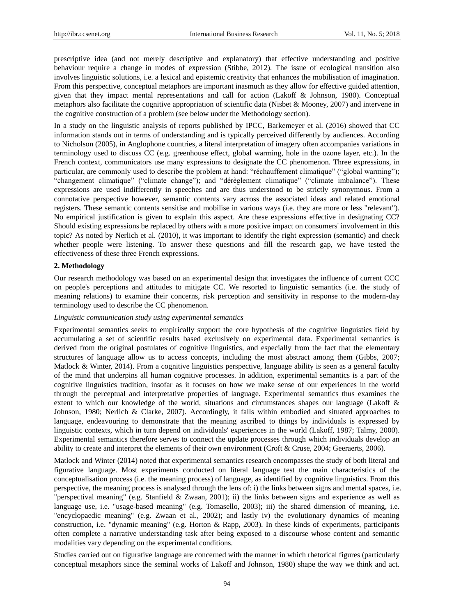prescriptive idea (and not merely descriptive and explanatory) that effective understanding and positive behaviour require a change in modes of expression (Stibbe, 2012). The issue of ecological transition also involves linguistic solutions, i.e. a lexical and epistemic creativity that enhances the mobilisation of imagination. From this perspective, conceptual metaphors are important inasmuch as they allow for effective guided attention, given that they impact mental representations and call for action (Lakoff & Johnson, 1980). Conceptual metaphors also facilitate the cognitive appropriation of scientific data (Nisbet & Mooney, 2007) and intervene in the cognitive construction of a problem (see below under the Methodology section).

In a study on the linguistic analysis of reports published by IPCC, Barkemeyer et al. (2016) showed that CC information stands out in terms of understanding and is typically perceived differently by audiences. According to Nicholson (2005), in Anglophone countries, a literal interpretation of imagery often accompanies variations in terminology used to discuss CC (e.g. greenhouse effect, global warming, hole in the ozone layer, etc.). In the French context, communicators use many expressions to designate the CC phenomenon. Three expressions, in particular, are commonly used to describe the problem at hand: "réchauffement climatique" ("global warming"); "changement climatique" ("climate change"); and "dérèglement climatique" ("climate imbalance"). These expressions are used indifferently in speeches and are thus understood to be strictly synonymous. From a connotative perspective however, semantic contents vary across the associated ideas and related emotional registers. These semantic contents sensitise and mobilise in various ways (i.e. they are more or less "relevant"). No empirical justification is given to explain this aspect. Are these expressions effective in designating CC? Should existing expressions be replaced by others with a more positive impact on consumers' involvement in this topic? As noted by Nerlich et al. (2010), it was important to identify the right expression (semantic) and check whether people were listening. To answer these questions and fill the research gap, we have tested the effectiveness of these three French expressions.

#### **2. Methodology**

Our research methodology was based on an experimental design that investigates the influence of current CCC on people's perceptions and attitudes to mitigate CC. We resorted to linguistic semantics (i.e. the study of meaning relations) to examine their concerns, risk perception and sensitivity in response to the modern-day terminology used to describe the CC phenomenon.

#### *Linguistic communication study using experimental semantics*

Experimental semantics seeks to empirically support the core hypothesis of the cognitive linguistics field by accumulating a set of scientific results based exclusively on experimental data. Experimental semantics is derived from the original postulates of cognitive linguistics, and especially from the fact that the elementary structures of language allow us to access concepts, including the most abstract among them (Gibbs, 2007; Matlock & Winter, 2014). From a cognitive linguistics perspective, language ability is seen as a general faculty of the mind that underpins all human cognitive processes. In addition, experimental semantics is a part of the cognitive linguistics tradition, insofar as it focuses on how we make sense of our experiences in the world through the perceptual and interpretative properties of language. Experimental semantics thus examines the extent to which our knowledge of the world, situations and circumstances shapes our language (Lakoff & Johnson, 1980; Nerlich & Clarke, 2007). Accordingly, it falls within embodied and situated approaches to language, endeavouring to demonstrate that the meaning ascribed to things by individuals is expressed by linguistic contexts, which in turn depend on individuals' experiences in the world (Lakoff, 1987; Talmy, 2000). Experimental semantics therefore serves to connect the update processes through which individuals develop an ability to create and interpret the elements of their own environment (Croft & Cruse, 2004; Geeraerts, 2006).

Matlock and Winter (2014) noted that experimental semantics research encompasses the study of both literal and figurative language. Most experiments conducted on literal language test the main characteristics of the conceptualisation process (i.e. the meaning process) of language, as identified by cognitive linguistics. From this perspective, the meaning process is analysed through the lens of: i) the links between signs and mental spaces, i.e. "perspectival meaning" (e.g. Stanfield & Zwaan, 2001); ii) the links between signs and experience as well as language use, i.e. "usage-based meaning" (e.g. Tomasello, 2003); iii) the shared dimension of meaning, i.e. "encyclopaedic meaning" (e.g. Zwaan et al., 2002); and lastly iv) the evolutionary dynamics of meaning construction, i.e. "dynamic meaning" (e.g. Horton & Rapp, 2003). In these kinds of experiments, participants often complete a narrative understanding task after being exposed to a discourse whose content and semantic modalities vary depending on the experimental conditions.

Studies carried out on figurative language are concerned with the manner in which rhetorical figures (particularly conceptual metaphors since the seminal works of Lakoff and Johnson, 1980) shape the way we think and act.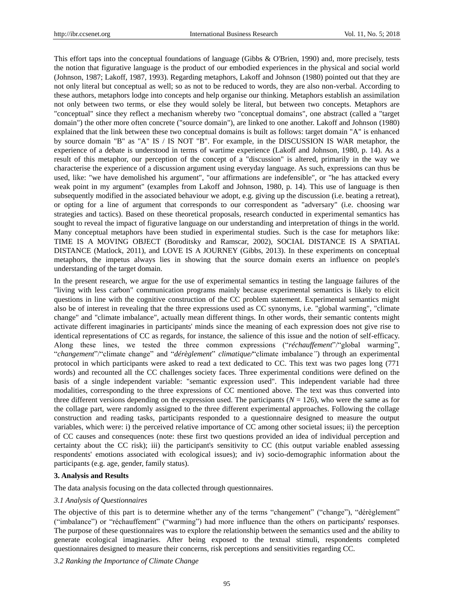This effort taps into the conceptual foundations of language (Gibbs & O'Brien, 1990) and, more precisely, tests the notion that figurative language is the product of our embodied experiences in the physical and social world (Johnson, 1987; Lakoff, 1987, 1993). Regarding metaphors, Lakoff and Johnson (1980) pointed out that they are not only literal but conceptual as well; so as not to be reduced to words, they are also non-verbal. According to these authors, metaphors lodge into concepts and help organise our thinking. Metaphors establish an assimilation not only between two terms, or else they would solely be literal, but between two concepts. Metaphors are "conceptual" since they reflect a mechanism whereby two "conceptual domains", one abstract (called a "target domain") the other more often concrete ("source domain"), are linked to one another. Lakoff and Johnson (1980) explained that the link between these two conceptual domains is built as follows: target domain "A" is enhanced by source domain "B" as "A" IS / IS NOT "B". For example, in the DISCUSSION IS WAR metaphor, the experience of a debate is understood in terms of wartime experience (Lakoff and Johnson, 1980, p. 14). As a result of this metaphor, our perception of the concept of a "discussion" is altered, primarily in the way we characterise the experience of a discussion argument using everyday language. As such, expressions can thus be used, like: "we have demolished his argument", "our affirmations are indefensible", or "he has attacked every weak point in my argument" (examples from Lakoff and Johnson, 1980, p. 14). This use of language is then subsequently modified in the associated behaviour we adopt, e.g. giving up the discussion (i.e. beating a retreat), or opting for a line of argument that corresponds to our correspondent as "adversary" (i.e. choosing war strategies and tactics). Based on these theoretical proposals, research conducted in experimental semantics has sought to reveal the impact of figurative language on our understanding and interpretation of things in the world. Many conceptual metaphors have been studied in experimental studies. Such is the case for metaphors like: TIME IS A MOVING OBJECT (Boroditsky and Ramscar, 2002), SOCIAL DISTANCE IS A SPATIAL DISTANCE (Matlock, 2011), and LOVE IS A JOURNEY (Gibbs, 2013). In these experiments on conceptual metaphors, the impetus always lies in showing that the source domain exerts an influence on people's understanding of the target domain.

In the present research, we argue for the use of experimental semantics in testing the language failures of the "living with less carbon" communication programs mainly because experimental semantics is likely to elicit questions in line with the cognitive construction of the CC problem statement. Experimental semantics might also be of interest in revealing that the three expressions used as CC synonyms, i.e. "global warming", "climate change" and "climate imbalance", actually mean different things. In other words, their semantic contents might activate different imaginaries in participants' minds since the meaning of each expression does not give rise to identical representations of CC as regards, for instance, the salience of this issue and the notion of self-efficacy. Along these lines, we tested the three common expressions ("*réchauffement*"/"global warming", "*changement*"/"climate change" and "*dérèglement*" *climatique/*"climate imbalance*"*) through an experimental protocol in which participants were asked to read a text dedicated to CC. This text was two pages long (771 words) and recounted all the CC challenges society faces. Three experimental conditions were defined on the basis of a single independent variable: "semantic expression used". This independent variable had three modalities, corresponding to the three expressions of CC mentioned above. The text was thus converted into three different versions depending on the expression used. The participants  $(N = 126)$ , who were the same as for the collage part, were randomly assigned to the three different experimental approaches. Following the collage construction and reading tasks, participants responded to a questionnaire designed to measure the output variables, which were: i) the perceived relative importance of CC among other societal issues; ii) the perception of CC causes and consequences (note: these first two questions provided an idea of individual perception and certainty about the CC risk); iii) the participant's sensitivity to CC (this output variable enabled assessing respondents' emotions associated with ecological issues); and iv) socio-demographic information about the participants (e.g. age, gender, family status).

#### **3. Analysis and Results**

The data analysis focusing on the data collected through questionnaires.

#### *3.1 Analysis of Questionnaires*

The objective of this part is to determine whether any of the terms "changement" ("change"), "dérèglement" ("imbalance") or "réchauffement" ("warming") had more influence than the others on participants' responses. The purpose of these questionnaires was to explore the relationship between the semantics used and the ability to generate ecological imaginaries. After being exposed to the textual stimuli, respondents completed questionnaires designed to measure their concerns, risk perceptions and sensitivities regarding CC.

*3.2 Ranking the Importance of Climate Change*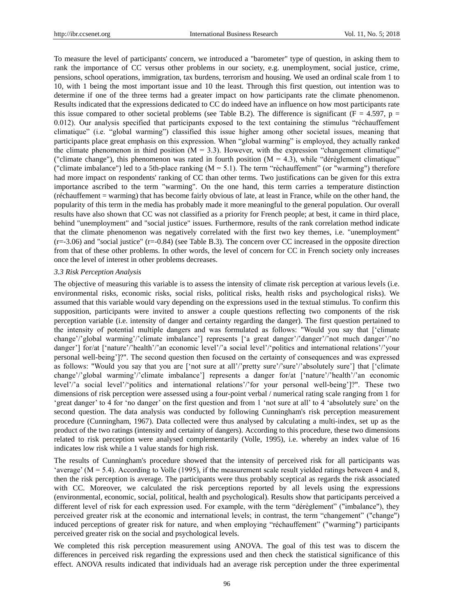To measure the level of participants' concern, we introduced a "barometer" type of question, in asking them to rank the importance of CC versus other problems in our society, e.g. unemployment, social justice, crime, pensions, school operations, immigration, tax burdens, terrorism and housing. We used an ordinal scale from 1 to 10, with 1 being the most important issue and 10 the least. Through this first question, out intention was to determine if one of the three terms had a greater impact on how participants rate the climate phenomenon. Results indicated that the expressions dedicated to CC do indeed have an influence on how most participants rate this issue compared to other societal problems (see Table B.2). The difference is significant ( $F = 4.597$ ,  $p =$ 0.012). Our analysis specified that participants exposed to the text containing the stimulus "réchauffement climatique" (i.e. "global warming") classified this issue higher among other societal issues, meaning that participants place great emphasis on this expression. When "global warming" is employed, they actually ranked the climate phenomenon in third position  $(M = 3.3)$ . However, with the expression "changement climatique" ("climate change"), this phenomenon was rated in fourth position  $(M = 4.3)$ , while "dérèglement climatique" ("climate imbalance") led to a 5th-place ranking  $(M = 5.1)$ . The term "réchauffement" (or "warming") therefore had more impact on respondents' ranking of CC than other terms. Two justifications can be given for this extra importance ascribed to the term "warming". On the one hand, this term carries a temperature distinction (réchauffement = warming) that has become fairly obvious of late, at least in France, while on the other hand, the popularity of this term in the media has probably made it more meaningful to the general population. Our overall results have also shown that CC was not classified as a priority for French people; at best, it came in third place, behind "unemployment" and "social justice" issues. Furthermore, results of the rank correlation method indicate that the climate phenomenon was negatively correlated with the first two key themes, i.e. "unemployment"  $(r=3.06)$  and "social justice"  $(r=-0.84)$  (see Table B.3). The concern over CC increased in the opposite direction from that of these other problems. In other words, the level of concern for CC in French society only increases once the level of interest in other problems decreases.

#### *3.3 Risk Perception Analysis*

The objective of measuring this variable is to assess the intensity of climate risk perception at various levels (i.e. environmental risks, economic risks, social risks, political risks, health risks and psychological risks). We assumed that this variable would vary depending on the expressions used in the textual stimulus. To confirm this supposition, participants were invited to answer a couple questions reflecting two components of the risk perception variable (i.e. intensity of danger and certainty regarding the danger). The first question pertained to the intensity of potential multiple dangers and was formulated as follows: "Would you say that ["climate change"/"global warming"/"climate imbalance"] represents ['a great danger"/"danger"/"not much danger"/"no danger"] for/at ['nature'/'health'/'an economic level'/'a social level'/'politics and international relations'/'your personal well-being"]?". The second question then focused on the certainty of consequences and was expressed as follows: "Would you say that you are ['not sure at all'/'pretty sure'/'sure'/'absolutely sure'] that ['climate change"/"global warming"/"climate imbalance"] represents a danger for/at ["nature"/"health"/"an economic level"/"a social level"/"politics and international relations"/"for your personal well-being"]?". These two dimensions of risk perception were assessed using a four-point verbal / numerical rating scale ranging from 1 for 'great danger' to 4 for 'no danger' on the first question and from 1 'not sure at all' to 4 'absolutely sure' on the second question. The data analysis was conducted by following Cunningham's risk perception measurement procedure (Cunningham, 1967). Data collected were thus analysed by calculating a multi-index, set up as the product of the two ratings (intensity and certainty of dangers). According to this procedure, these two dimensions related to risk perception were analysed complementarily (Volle, 1995), i.e. whereby an index value of 16 indicates low risk while a 1 value stands for high risk.

The results of Cunningham's procedure showed that the intensity of perceived risk for all participants was 'average' ( $M = 5.4$ ). According to Volle (1995), if the measurement scale result yielded ratings between 4 and 8, then the risk perception is average. The participants were thus probably sceptical as regards the risk associated with CC. Moreover, we calculated the risk perceptions reported by all levels using the expressions (environmental, economic, social, political, health and psychological). Results show that participants perceived a different level of risk for each expression used. For example, with the term "dérèglement" ("imbalance"), they perceived greater risk at the economic and international levels; in contrast, the term "changement" ("change") induced perceptions of greater risk for nature, and when employing "réchauffement" ("warming") participants perceived greater risk on the social and psychological levels.

We completed this risk perception measurement using ANOVA. The goal of this test was to discern the differences in perceived risk regarding the expressions used and then check the statistical significance of this effect. ANOVA results indicated that individuals had an average risk perception under the three experimental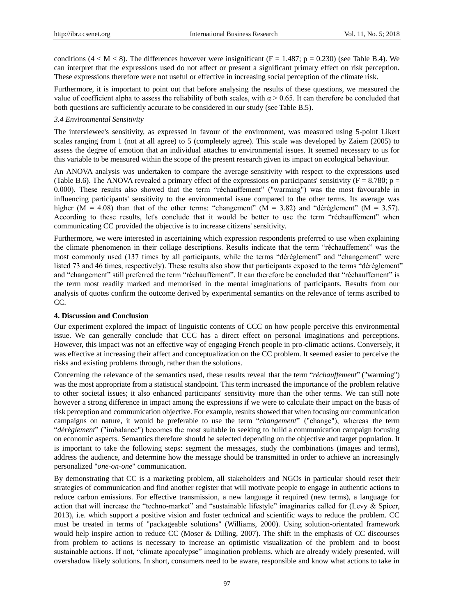conditions  $(4 < M < 8)$ . The differences however were insignificant (F = 1.487; p = 0.230) (see Table B.4). We can interpret that the expressions used do not affect or present a significant primary effect on risk perception. These expressions therefore were not useful or effective in increasing social perception of the climate risk.

Furthermore, it is important to point out that before analysing the results of these questions, we measured the value of coefficient alpha to assess the reliability of both scales, with  $\alpha$  > 0.65. It can therefore be concluded that both questions are sufficiently accurate to be considered in our study (see Table B.5).

#### *3.4 Environmental Sensitivity*

The interviewee's sensitivity, as expressed in favour of the environment, was measured using 5-point Likert scales ranging from 1 (not at all agree) to 5 (completely agree). This scale was developed by Zaiem (2005) to assess the degree of emotion that an individual attaches to environmental issues. It seemed necessary to us for this variable to be measured within the scope of the present research given its impact on ecological behaviour.

An ANOVA analysis was undertaken to compare the average sensitivity with respect to the expressions used (Table B.6). The ANOVA revealed a primary effect of the expressions on participants' sensitivity ( $F = 8.780$ ; p = 0.000). These results also showed that the term "réchauffement" ("warming") was the most favourable in influencing participants' sensitivity to the environmental issue compared to the other terms. Its average was higher ( $M = 4.08$ ) than that of the other terms: "changement" ( $M = 3.82$ ) and "dérèglement" ( $M = 3.57$ ). According to these results, let's conclude that it would be better to use the term "réchauffement" when communicating CC provided the objective is to increase citizens' sensitivity.

Furthermore, we were interested in ascertaining which expression respondents preferred to use when explaining the climate phenomenon in their collage descriptions. Results indicate that the term "réchauffement" was the most commonly used (137 times by all participants, while the terms "déréglement" and "changement" were listed 73 and 46 times, respectively). These results also show that participants exposed to the terms "déréglement" and "changement" still preferred the term "réchauffement". It can therefore be concluded that "réchauffement" is the term most readily marked and memorised in the mental imaginations of participants. Results from our analysis of quotes confirm the outcome derived by experimental semantics on the relevance of terms ascribed to CC.

## **4. Discussion and Conclusion**

Our experiment explored the impact of linguistic contents of CCC on how people perceive this environmental issue. We can generally conclude that CCC has a direct effect on personal imaginations and perceptions. However, this impact was not an effective way of engaging French people in pro-climatic actions. Conversely, it was effective at increasing their affect and conceptualization on the CC problem. It seemed easier to perceive the risks and existing problems through, rather than the solutions.

Concerning the relevance of the semantics used, these results reveal that the term "*réchauffement*" ("warming") was the most appropriate from a statistical standpoint. This term increased the importance of the problem relative to other societal issues; it also enhanced participants' sensitivity more than the other terms. We can still note however a strong difference in impact among the expressions if we were to calculate their impact on the basis of risk perception and communication objective. For example, results showed that when focusing our communication campaigns on nature, it would be preferable to use the term "*changement*" ("change"), whereas the term "*dérèglement*" ("imbalance") becomes the most suitable in seeking to build a communication campaign focusing on economic aspects. Semantics therefore should be selected depending on the objective and target population. It is important to take the following steps: segment the messages, study the combinations (images and terms), address the audience, and determine how the message should be transmitted in order to achieve an increasingly personalized "*one-on-one*" communication.

By demonstrating that CC is a marketing problem, all stakeholders and NGOs in particular should reset their strategies of communication and find another register that will motivate people to engage in authentic actions to reduce carbon emissions. For effective transmission, a new language it required (new terms), a language for action that will increase the "techno-market" and "sustainable lifestyle" imaginaries called for (Levy & Spicer, 2013), i.e. which support a positive vision and foster technical and scientific ways to reduce the problem. CC must be treated in terms of "packageable solutions" (Williams, 2000). Using solution-orientated framework would help inspire action to reduce CC (Moser & Dilling, 2007). The shift in the emphasis of CC discourses from problem to actions is necessary to increase an optimistic visualization of the problem and to boost sustainable actions. If not, "climate apocalypse" imagination problems, which are already widely presented, will overshadow likely solutions. In short, consumers need to be aware, responsible and know what actions to take in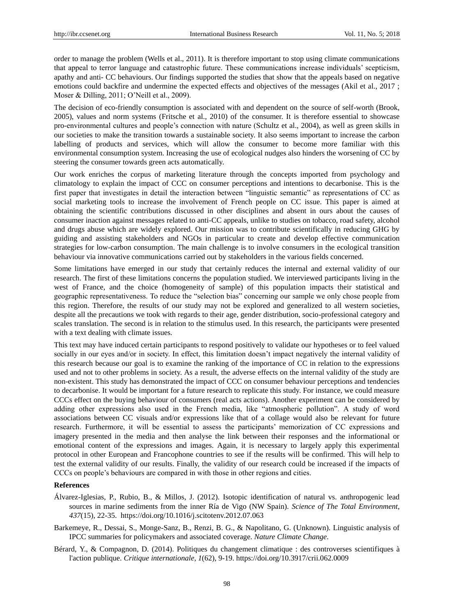order to manage the problem (Wells et al., 2011). It is therefore important to stop using climate communications that appeal to terror language and catastrophic future. These communications increase individuals" scepticism, apathy and anti- CC behaviours. Our findings supported the studies that show that the appeals based on negative emotions could backfire and undermine the expected effects and objectives of the messages (Akil et al., 2017 ; Moser & Dilling, 2011; O"Neill et al., 2009).

The decision of eco-friendly consumption is associated with and dependent on the source of self-worth (Brook, 2005), values and norm systems (Fritsche et al., 2010) of the consumer. It is therefore essential to showcase pro-environmental cultures and people"s connection with nature (Schultz et al., 2004), as well as green skills in our societies to make the transition towards a sustainable society. It also seems important to increase the carbon labelling of products and services, which will allow the consumer to become more familiar with this environmental consumption system. Increasing the use of ecological nudges also hinders the worsening of CC by steering the consumer towards green acts automatically.

Our work enriches the corpus of marketing literature through the concepts imported from psychology and climatology to explain the impact of CCC on consumer perceptions and intentions to decarbonise. This is the first paper that investigates in detail the interaction between "linguistic semantic" as representations of CC as social marketing tools to increase the involvement of French people on CC issue. This paper is aimed at obtaining the scientific contributions discussed in other disciplines and absent in ours about the causes of consumer inaction against messages related to anti-CC appeals, unlike to studies on tobacco, road safety, alcohol and drugs abuse which are widely explored. Our mission was to contribute scientifically in reducing GHG by guiding and assisting stakeholders and NGOs in particular to create and develop effective communication strategies for low-carbon consumption. The main challenge is to involve consumers in the ecological transition behaviour via innovative communications carried out by stakeholders in the various fields concerned.

Some limitations have emerged in our study that certainly reduces the internal and external validity of our research. The first of these limitations concerns the population studied. We interviewed participants living in the west of France, and the choice (homogeneity of sample) of this population impacts their statistical and geographic representativeness. To reduce the "selection bias" concerning our sample we only chose people from this region. Therefore, the results of our study may not be explored and generalized to all western societies, despite all the precautions we took with regards to their age, gender distribution, socio-professional category and scales translation. The second is in relation to the stimulus used. In this research, the participants were presented with a text dealing with climate issues.

This text may have induced certain participants to respond positively to validate our hypotheses or to feel valued socially in our eyes and/or in society. In effect, this limitation doesn't impact negatively the internal validity of this research because our goal is to examine the ranking of the importance of CC in relation to the expressions used and not to other problems in society. As a result, the adverse effects on the internal validity of the study are non-existent. This study has demonstrated the impact of CCC on consumer behaviour perceptions and tendencies to decarbonise. It would be important for a future research to replicate this study. For instance, we could measure CCCs effect on the buying behaviour of consumers (real acts actions). Another experiment can be considered by adding other expressions also used in the French media, like "atmospheric pollution". A study of word associations between CC visuals and/or expressions like that of a collage would also be relevant for future research. Furthermore, it will be essential to assess the participants" memorization of CC expressions and imagery presented in the media and then analyse the link between their responses and the informational or emotional content of the expressions and images. Again, it is necessary to largely apply this experimental protocol in other European and Francophone countries to see if the results will be confirmed. This will help to test the external validity of our results. Finally, the validity of our research could be increased if the impacts of CCCs on people"s behaviours are compared in with those in other regions and cities.

### **References**

- Álvarez-Iglesias, P., Rubio, B., & Millos, J. (2012). Isotopic identification of natural vs. anthropogenic lead sources in marine sediments from the inner Ría de Vigo (NW Spain). *Science of The Total Environment*, *437*(15), 22-35. https://doi.org/10.1016/j.scitotenv.2012.07.063
- Barkemeye, R., Dessai, S., Monge-Sanz, B., Renzi, B. G., & Napolitano, G. (Unknown). Linguistic analysis of IPCC summaries for policymakers and associated coverage. *Nature Climate Change*.
- Bérard, Y., & Compagnon, D. (2014). Politiques du changement climatique : des controverses scientifiques à l'action publique. *Critique internationale*, *1*(62), 9-19. https://doi.org/10.3917/crii.062.0009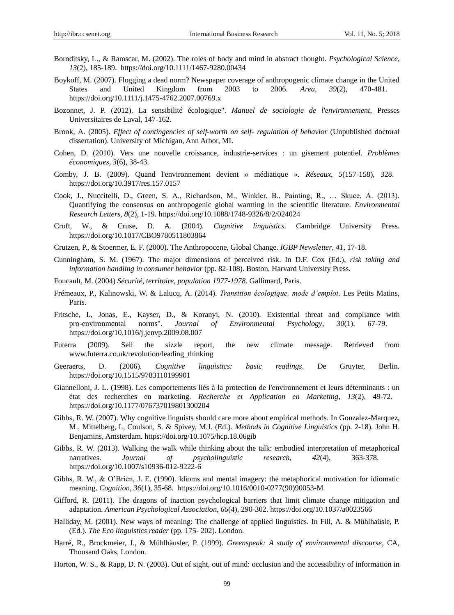- Boroditsky, L., & Ramscar, M. (2002). The roles of body and mind in abstract thought. *Psychological Science*, *13*(2), 185-189. https://doi.org/10.1111/1467-9280.00434
- Boykoff, M. (2007). Flogging a dead norm? Newspaper coverage of anthropogenic climate change in the United States and United Kingdom from 2003 to 2006. *Area*, *39*(2), 470-481. https://doi.org/10.1111/j.1475-4762.2007.00769.x
- Bozonnet, J. P. (2012). La sensibilité écologique". *Manuel de sociologie de l'environnement*, Presses Universitaires de Laval, 147-162.
- Brook, A. (2005). *Effect of contingencies of self-worth on self- regulation of behavior* (Unpublished doctoral dissertation). University of Michigan, Ann Arbor, MI.
- Cohen, D. (2010). Vers une nouvelle croissance, industrie-services : un gisement potentiel. *Problèmes économiques*, *3*(6), 38-43.
- Comby, J. B. (2009). Quand l'environnement devient « médiatique ». *Réseaux*, *5*(157-158), 328. https://doi.org/10.3917/res.157.0157
- Cook, J., Nuccitelli, D., Green, S. A., Richardson, M., Winkler, B., Painting, R., … Skuce, A. (2013). Quantifying the consensus on anthropogenic global warming in the scientific literature. *Environmental Research Letters*, *8*(2), 1-19. https://doi.org/10.1088/1748-9326/8/2/024024
- Croft, W., & Cruse, D. A. (2004). *Cognitive linguistics*. Cambridge University Press. https://doi.org/10.1017/CBO9780511803864
- Crutzen, P., & Stoermer, E. F. (2000). The Anthropocene, Global Change. *IGBP Newsletter*, *41*, 17-18.
- Cunningham, S. M. (1967). The major dimensions of perceived risk. In D.F. Cox (Ed.), *risk taking and information handling in consumer behavior* (pp. 82-108). Boston, Harvard University Press.
- Foucault, M. (2004) *Sécurité, territoire, population 1977-1978*. Gallimard, Paris.
- Frémeaux, P., Kalinowski, W. & Lalucq, A. (2014). *Transition écologique, mode d'emploi*. Les Petits Matins, Paris.
- Fritsche, I., Jonas, E., Kayser, D., & Koranyi, N. (2010). Existential threat and compliance with pro-environmental norms". *Journal of Environmental Psychology*, *30*(1), 67-79. https://doi.org/10.1016/j.jenvp.2009.08.007
- Futerra (2009). Sell the sizzle report, the new climate message. Retrieved from [www.futerra.co.uk/revolution/leading\\_thinking](http://www.futerra.co.uk/revolution/leading_thinking)
- Geeraerts, D. (2006). *Cognitive linguistics: basic readings*. De Gruyter, Berlin. https://doi.org/10.1515/9783110199901
- Giannelloni, J. L. (1998). Les comportements liés à la protection de l'environnement et leurs déterminants : un état des recherches en marketing. *Recherche et Application en Marketing*, *13*(2), 49-72. https://doi.org/10.1177/076737019801300204
- Gibbs, R. W. (2007). Why cognitive linguists should care more about empirical methods. In Gonzalez-Marquez, M., Mittelberg, I., Coulson, S. & Spivey, M.J. (Ed.). *Methods in Cognitive Linguistics* (pp. 2-18). John H. Benjamins, Amsterdam. https://doi.org/10.1075/hcp.18.06gib
- Gibbs, R. W. (2013). Walking the walk while thinking about the talk: embodied interpretation of metaphorical narratives. *Journal of psycholinguistic research*, *42*(4), 363-378. https://doi.org/10.1007/s10936-012-9222-6
- Gibbs, R. W., & O'Brien, J. E. (1990). Idioms and mental imagery: the metaphorical motivation for idiomatic meaning. *Cognition*, *36*(1), 35-68. https://doi.org/10.1016/0010-0277(90)90053-M
- Gifford, R. (2011). The dragons of inaction psychological barriers that limit climate change mitigation and adaptation. *American Psychological Association*, *66*(4), 290-302. https://doi.org/10.1037/a0023566
- Halliday, M. (2001). New ways of meaning: The challenge of applied linguistics. In Fill, A. & Mühlhaüsle, P. (Ed.). *The Eco linguistics reader* (pp. 175- 202). London.
- Harré, R., Brockmeier, J., & Mühlhäusler, P. (1999). *Greenspeak: A study of environmental discourse*, CA, Thousand Oaks, London.
- Horton, W. S., & Rapp, D. N. (2003). Out of sight, out of mind: occlusion and the accessibility of information in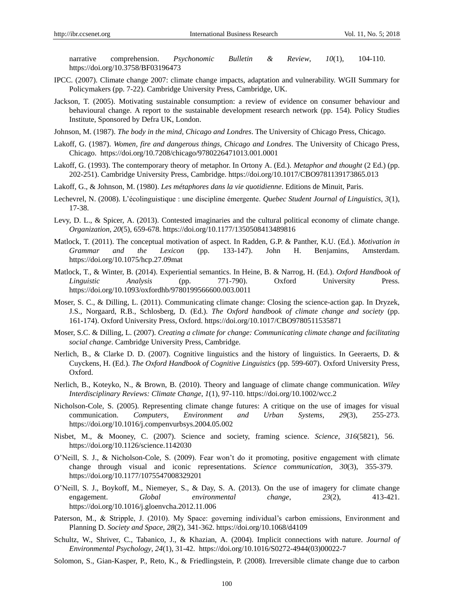narrative comprehension. *Psychonomic Bulletin & Review*, *10*(1), 104-110. https://doi.org/10.3758/BF03196473

- IPCC. (2007). Climate change 2007: climate change impacts, adaptation and vulnerability. WGII Summary for Policymakers (pp. 7-22). Cambridge University Press, Cambridge, UK.
- Jackson, T. (2005). Motivating sustainable consumption: a review of evidence on consumer behaviour and behavioural change. A report to the sustainable development research network (pp. 154). Policy Studies Institute, Sponsored by Defra UK, London.
- Johnson, M. (1987). *The body in the mind, Chicago and Londres*. The University of Chicago Press, Chicago.
- Lakoff, G. (1987). *Women, fire and dangerous things, Chicago and Londres*. The University of Chicago Press, Chicago. https://doi.org/10.7208/chicago/9780226471013.001.0001
- Lakoff, G. (1993). The contemporary theory of metaphor. In Ortony A. (Ed.). *Metaphor and thought* (2 Ed.) (pp. 202-251). Cambridge University Press, Cambridge. https://doi.org/10.1017/CBO9781139173865.013
- Lakoff, G., & Johnson, M. (1980). *Les métaphores dans la vie quotidienne*. Editions de Minuit, Paris.
- Lechevrel, N. (2008). L"écolinguistique : une discipline émergente. *Quebec Student Journal of Linguistics*, *3*(1), 17-38.
- Levy, D. L., & Spicer, A. (2013). Contested imaginaries and the cultural political economy of climate change. *Organization*, *20*(5), 659-678. https://doi.org/10.1177/1350508413489816
- Matlock, T. (2011). The conceptual motivation of aspect. In Radden, G.P. & Panther, K.U. (Ed.). *Motivation in Grammar and the Lexicon* (pp. 133-147). John H. Benjamins, Amsterdam. https://doi.org/10.1075/hcp.27.09mat
- Matlock, T., & Winter, B. (2014). Experiential semantics. In Heine, B. & Narrog, H. (Ed.). *Oxford Handbook of Linguistic Analysis* (pp. 771-790). Oxford University Press. https://doi.org/10.1093/oxfordhb/9780199566600.003.0011
- Moser, S. C., & Dilling, L. (2011). Communicating climate change: Closing the science-action gap. In Dryzek, J.S., Norgaard, R.B., Schlosberg, D. (Ed.). *The Oxford handbook of climate change and society* (pp. 161-174). Oxford University Press, Oxford. https://doi.org/10.1017/CBO9780511535871
- Moser, S.C. & Dilling, L. (2007). *Creating a climate for change: Communicating climate change and facilitating social change*. Cambridge University Press, Cambridge.
- Nerlich, B., & Clarke D. D. (2007). Cognitive linguistics and the history of linguistics. In Geeraerts, D. & Cuyckens, H. (Ed.). *The Oxford Handbook of Cognitive Linguistics* (pp. 599-607). Oxford University Press, Oxford.
- Nerlich, B., Koteyko, N., & Brown, B. (2010). Theory and language of climate change communication. *Wiley Interdisciplinary Reviews: Climate Change*, *1*(1), 97-110. https://doi.org/10.1002/wcc.2
- Nicholson-Cole, S. (2005). Representing climate change futures: A critique on the use of images for visual communication. *Computers, Environment and Urban Systems*, *29*(3), 255-273. https://doi.org/10.1016/j.compenvurbsys.2004.05.002
- Nisbet, M., & Mooney, C. (2007). Science and society, framing science. *Science*, *316*(5821), 56. https://doi.org/10.1126/science.1142030
- O"Neill, S. J., & Nicholson-Cole, S. (2009). Fear won"t do it promoting, positive engagement with climate change through visual and iconic representations. *Science communication*, *30*(3), 355-379. https://doi.org/10.1177/1075547008329201
- O"Neill, S. J., Boykoff, M., Niemeyer, S., & Day, S. A. (2013). On the use of imagery for climate change engagement. *Global environmental change*, *23*(2), 413-421. https://doi.org/10.1016/j.gloenvcha.2012.11.006
- Paterson, M., & Stripple, J. (2010). My Space: governing individual's carbon emissions, Environment and Planning D. *Society and Space*, *28*(2), 341-362. https://doi.org/10.1068/d4109
- Schultz, W., Shriver, C., Tabanico, J., & Khazian, A. (2004). Implicit connections with nature. *Journal of Environmental Psychology*, *24*(1), 31-42. https://doi.org/10.1016/S0272-4944(03)00022-7
- Solomon, S., Gian-Kasper, P., Reto, K., & Friedlingstein, P. (2008). Irreversible climate change due to carbon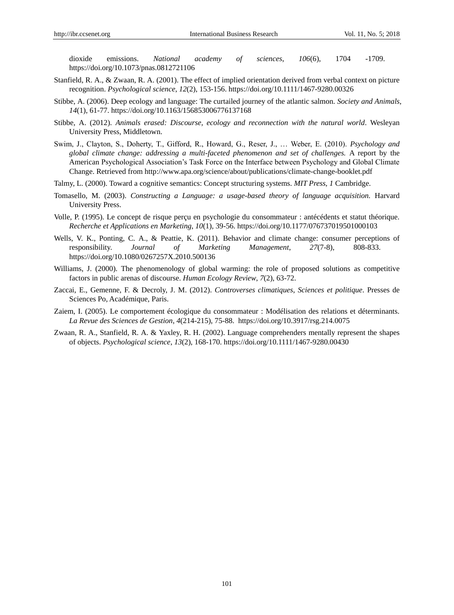dioxide emissions. *National academy of sciences*, *106*(6), 1704 -1709. https://doi.org/10.1073/pnas.0812721106

- Stanfield, R. A., & Zwaan, R. A. (2001). The effect of implied orientation derived from verbal context on picture recognition. *Psychological science*, *12*(2), 153-156. https://doi.org/10.1111/1467-9280.00326
- Stibbe, A. (2006). Deep ecology and language: The curtailed journey of the atlantic salmon. *Society and Animals*, *14*(1), 61-77. https://doi.org/10.1163/156853006776137168
- Stibbe, A. (2012). *Animals erased: Discourse, ecology and reconnection with the natural world*. Wesleyan University Press, Middletown.
- Swim, J., Clayton, S., Doherty, T., Gifford, R., Howard, G., Reser, J., … Weber, E. (2010). *Psychology and global climate change: addressing a multi-faceted phenomenon and set of challenges.* A report by the American Psychological Association"s Task Force on the Interface between Psychology and Global Climate Change. Retrieved from<http://www.apa.org/science/about/publications/climate-change-booklet.pdf>
- Talmy, L. (2000). Toward a cognitive semantics: Concept structuring systems. *MIT Press*, *1* Cambridge.
- Tomasello, M. (2003). *Constructing a Language: a usage-based theory of language acquisition.* Harvard University Press.
- Volle, P. (1995). Le concept de risque perçu en psychologie du consommateur : antécédents et statut théorique. *Recherche et Applications en Marketing*, *10*(1), 39-56. https://doi.org/10.1177/076737019501000103
- Wells, V. K., Ponting, C. A., & Peattie, K. (2011). Behavior and climate change: consumer perceptions of responsibility. *Journal of Marketing Management*, *27*(7-8), 808-833. https://doi.org/10.1080/0267257X.2010.500136
- Williams, J. (2000). The phenomenology of global warming: the role of proposed solutions as competitive factors in public arenas of discourse. *Human Ecology Review*, *7*(2), 63-72.
- Zaccai, E., Gemenne, F. & Decroly, J. M. (2012). *Controverses climatiques*, *Sciences et politique*. Presses de Sciences Po, Académique, Paris.
- Zaiem, I. (2005). Le comportement écologique du consommateur : Modélisation des relations et déterminants. *La Revue des Sciences de Gestion*, *4*(214-215), 75-88. https://doi.org/10.3917/rsg.214.0075
- Zwaan, R. A., Stanfield, R. A. & Yaxley, R. H. (2002). Language comprehenders mentally represent the shapes of objects. *Psychological science*, *13*(2), 168-170. https://doi.org/10.1111/1467-9280.00430